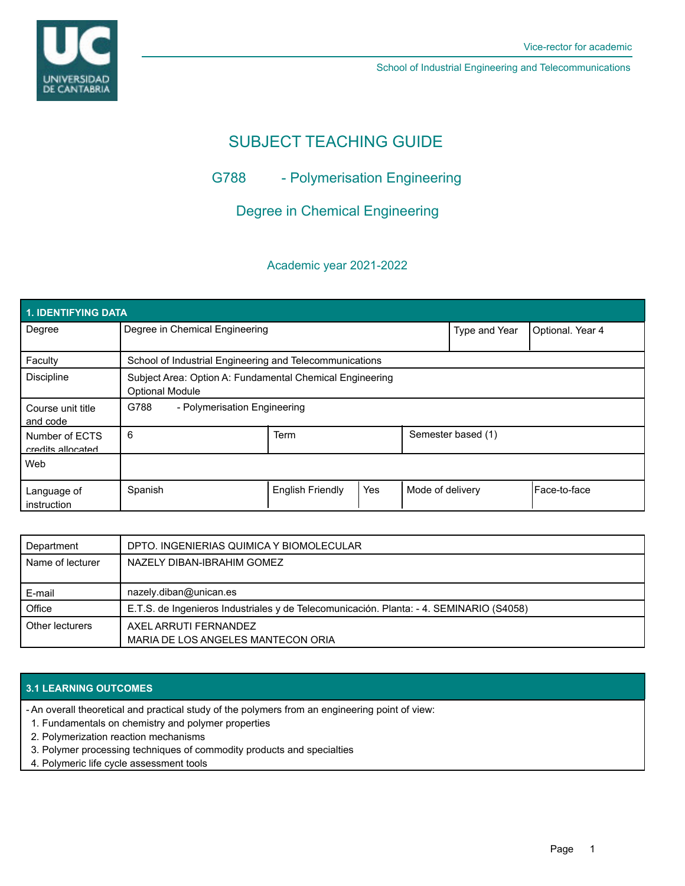School of Industrial Engineering and Telecommunications

# SUBJECT TEACHING GUIDE

## G788 - Polymerisation Engineering

Degree in Chemical Engineering

### Academic year 2021-2022

| 1. IDENTIFYING DATA                 |                                                                                    |                         |     |                    |                  |              |  |  |  |
|-------------------------------------|------------------------------------------------------------------------------------|-------------------------|-----|--------------------|------------------|--------------|--|--|--|
| Degree                              | Degree in Chemical Engineering                                                     |                         |     | Type and Year      | Optional. Year 4 |              |  |  |  |
| Faculty                             | School of Industrial Engineering and Telecommunications                            |                         |     |                    |                  |              |  |  |  |
| <b>Discipline</b>                   | Subject Area: Option A: Fundamental Chemical Engineering<br><b>Optional Module</b> |                         |     |                    |                  |              |  |  |  |
| Course unit title<br>and code       | G788<br>- Polymerisation Engineering                                               |                         |     |                    |                  |              |  |  |  |
| Number of ECTS<br>credits allocated | 6                                                                                  | Term                    |     | Semester based (1) |                  |              |  |  |  |
| Web                                 |                                                                                    |                         |     |                    |                  |              |  |  |  |
| Language of<br>instruction          | Spanish                                                                            | <b>English Friendly</b> | Yes | Mode of delivery   |                  | Face-to-face |  |  |  |

| Department       | DPTO. INGENIERIAS QUIMICA Y BIOMOLECULAR                                                |
|------------------|-----------------------------------------------------------------------------------------|
| Name of lecturer | NAZELY DIBAN-IBRAHIM GOMEZ                                                              |
|                  |                                                                                         |
| E-mail           | nazely.diban@unican.es                                                                  |
| Office           | E.T.S. de Ingenieros Industriales y de Telecomunicación. Planta: - 4. SEMINARIO (S4058) |
| Other lecturers  | AXEL ARRUTI FERNANDEZ                                                                   |
|                  | MARIA DE LOS ANGELES MANTECON ORIA                                                      |

#### **3.1 LEARNING OUTCOMES**

- An overall theoretical and practical study of the polymers from an engineering point of view:

- 1. Fundamentals on chemistry and polymer properties
- 2. Polymerization reaction mechanisms
- 3. Polymer processing techniques of commodity products and specialties
- 4. Polymeric life cycle assessment tools